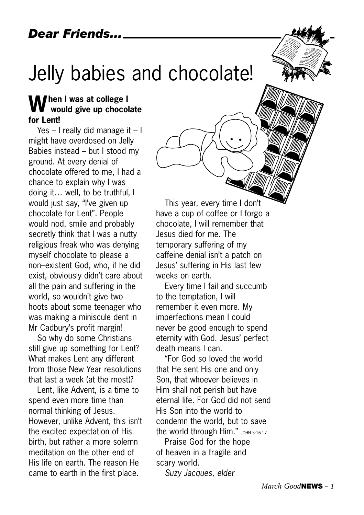## Jelly babies and chocolate!

## **When I was at college I would give up chocolate for Lent!**

Yes – I really did manage it – I might have overdosed on Jelly Babies instead – but I stood my ground. At every denial of chocolate offered to me, I had a chance to explain why I was doing it… well, to be truthful, I would just say, "I've given up chocolate for Lent". People would nod, smile and probably secretly think that I was a nutty religious freak who was denying myself chocolate to please a non–existent God, who, if he did exist, obviously didn't care about all the pain and suffering in the world, so wouldn't give two hoots about some teenager who was making a miniscule dent in Mr Cadbury's profit margin!

So why do some Christians still give up something for Lent? What makes Lent any different from those New Year resolutions that last a week (at the most)?

Lent, like Advent, is a time to spend even more time than normal thinking of Jesus. However, unlike Advent, this isn't the excited expectation of His birth, but rather a more solemn meditation on the other end of His life on earth. The reason He came to earth in the first place.

This year, every time I don't have a cup of coffee or I forgo a chocolate, I will remember that Jesus died for me. The temporary suffering of my caffeine denial isn't a patch on Jesus' suffering in His last few weeks on earth.

Every time I fail and succumb to the temptation, I will remember it even more. My imperfections mean I could never be good enough to spend eternity with God. Jesus' perfect death means I can.

"For God so loved the world that He sent His one and only Son, that whoever believes in Him shall not perish but have eternal life. For God did not send His Son into the world to condemn the world, but to save the world through Him."  $J$  JOHN 3:16-17

Praise God for the hope of heaven in a fragile and scary world.

*Suzy Jacques, elder*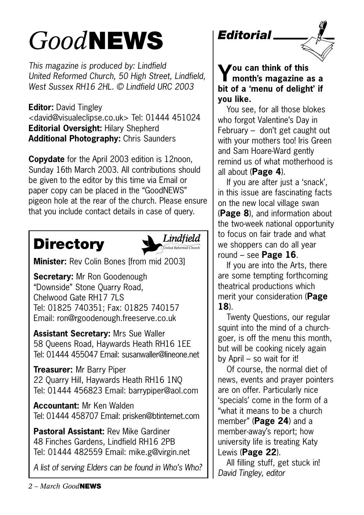# *Good***NEWS**

*This magazine is produced by: Lindfield United Reformed Church, 50 High Street, Lindfield, West Sussex RH16 2HL. © Lindfield URC 2003*

**Editor:** David Tingley <david@visualeclipse.co.uk> Tel: 01444 451024 **Editorial Oversight:** Hilary Shepherd **Additional Photography:** Chris Saunders

**Copydate** for the April 2003 edition is 12noon, Sunday 16th March 2003. All contributions should be given to the editor by this time via Email or paper copy can be placed in the "GoodNEWS" pigeon hole at the rear of the church. Please ensure that you include contact details in case of query.

## **Directory**



**Minister:** Rev Colin Bones [from mid 2003]

**Secretary:** Mr Ron Goodenough "Downside" Stone Quarry Road, Chelwood Gate RH17 7LS Tel: 01825 740351; Fax: 01825 740157 Email: ron@rgoodenough.freeserve.co.uk

**Assistant Secretary:** Mrs Sue Waller 58 Queens Road, Haywards Heath RH16 1EE Tel: 01444 455047 Email: susanwaller@lineone.net

**Treasurer:** Mr Barry Piper 22 Quarry Hill, Haywards Heath RH16 1NQ Tel: 01444 456823 Email: barrypiper@aol.com

**Accountant:** Mr Ken Walden Tel: 01444 458707 Email: prisken@btinternet.com

**Pastoral Assistant:** Rev Mike Gardiner 48 Finches Gardens, Lindfield RH16 2PB Tel: 01444 482559 Email: mike.g@virgin.net

*A list of serving Elders can be found in Who's Who?*



You see, for all those blokes who forgot Valentine's Day in February – don't get caught out with your mothers too! Iris Green and Sam Hoare-Ward gently remind us of what motherhood is all about (**Page 4**).

If you are after just a 'snack', in this issue are fascinating facts on the new local village swan (**Page 8**), and information about the two-week national opportunity to focus on fair trade and what we shoppers can do all year round – see **Page 16**.

If you are into the Arts, there are some tempting forthcoming theatrical productions which merit your consideration (**Page 18**).

Twenty Questions, our regular squint into the mind of a churchgoer, is off the menu this month, but will be cooking nicely again by April – so wait for it!

Of course, the normal diet of news, events and prayer pointers are on offer. Particularly nice 'specials' come in the form of a "what it means to be a church member" (**Page 24**) and a member-away's report; how university life is treating Katy Lewis (**Page 22**).

All filling stuff, get stuck in! *David Tingley, editor*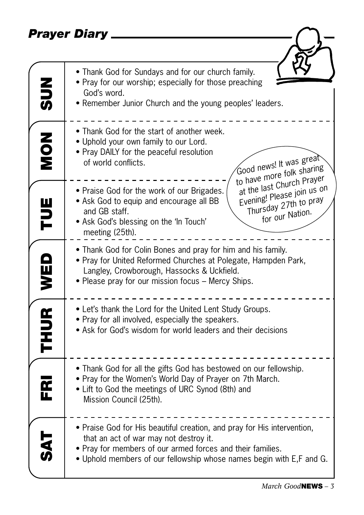## *Prayer Diary*

|                         | Prayer Diary                                                                                                                                                                                                                                                               |
|-------------------------|----------------------------------------------------------------------------------------------------------------------------------------------------------------------------------------------------------------------------------------------------------------------------|
|                         |                                                                                                                                                                                                                                                                            |
| $rac{2}{5}$             | • Thank God for Sundays and for our church family.<br>• Pray for our worship; especially for those preaching<br>God's word.<br>• Remember Junior Church and the young peoples' leaders.                                                                                    |
| NON<br>NON              | • Thank God for the start of another week.<br>• Uphold your own family to our Lord.<br>• Pray DAILY for the peaceful resolution<br>Good news! It was great<br>of world conflicts.<br>to have more folk sharing                                                             |
| Ë                       | at the last Church Prayer<br>Evening! Please join us on<br>• Praise God for the work of our Brigades.<br>Thursday 27th to pray<br>• Ask God to equip and encourage all BB<br>and GB staff.<br>for our Nation.<br>• Ask God's blessing on the 'In Touch'<br>meeting (25th). |
| WED                     | • Thank God for Colin Bones and pray for him and his family.<br>• Pray for United Reformed Churches at Polegate, Hampden Park,<br>Langley, Crowborough, Hassocks & Uckfield.<br>• Please pray for our mission focus – Mercy Ships.                                         |
| <b>THUR</b>             | • Let's thank the Lord for the United Lent Study Groups.<br>• Pray for all involved, especially the speakers.<br>• Ask for God's wisdom for world leaders and their decisions                                                                                              |
| $\overline{\mathbf{r}}$ | • Thank God for all the gifts God has bestowed on our fellowship.<br>• Pray for the Women's World Day of Prayer on 7th March.<br>• Lift to God the meetings of URC Synod (8th) and<br>Mission Council (25th).                                                              |
| $\frac{1}{2}$           | • Praise God for His beautiful creation, and pray for His intervention,<br>that an act of war may not destroy it.<br>• Pray for members of our armed forces and their families.<br>• Uphold members of our fellowship whose names begin with E,F and G.                    |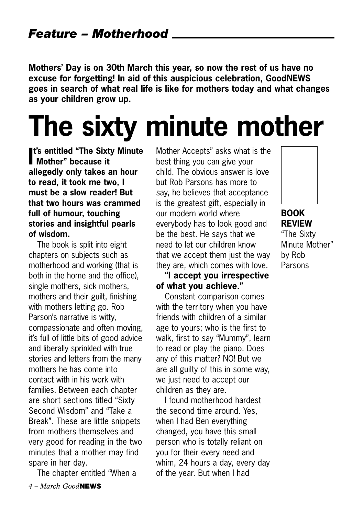**Mothers' Day is on 30th March this year, so now the rest of us have no excuse for forgetting! In aid of this auspicious celebration, GoodNEWS goes in search of what real life is like for mothers today and what changes as your children grow up.** 

# **The sixty minute mother**

**I's entitled "The Sixt"**<br> **Mother" because it t's entitled "The Sixty Minute allegedly only takes an hour to read, it took me two, I must be a slow reader! But that two hours was crammed full of humour, touching stories and insightful pearls of wisdom.**

The book is split into eight chapters on subjects such as motherhood and working (that is both in the home and the office), single mothers, sick mothers, mothers and their guilt, finishing with mothers letting go. Rob Parson's narrative is witty, compassionate and often moving, it's full of little bits of good advice and liberally sprinkled with true stories and letters from the many mothers he has come into contact with in his work with families. Between each chapter are short sections titled "Sixty Second Wisdom" and "Take a Break". These are little snippets from mothers themselves and very good for reading in the two minutes that a mother may find spare in her day.

The chapter entitled "When a

Mother Accepts" asks what is the best thing you can give your child. The obvious answer is love but Rob Parsons has more to say, he believes that acceptance is the greatest gift, especially in our modern world where everybody has to look good and be the best. He says that we need to let our children know that we accept them just the way they are, which comes with love.

#### **"I accept you irrespective of what you achieve."**

Constant comparison comes with the territory when you have friends with children of a similar age to yours; who is the first to walk, first to say "Mummy", learn to read or play the piano. Does any of this matter? NO! But we are all guilty of this in some way, we just need to accept our children as they are.

I found motherhood hardest the second time around. Yes, when I had Ben everything changed, you have this small person who is totally reliant on you for their every need and whim, 24 hours a day, every day of the year. But when I had



## **BOOK REVIEW**

"The Sixty Minute Mother" by Rob Parsons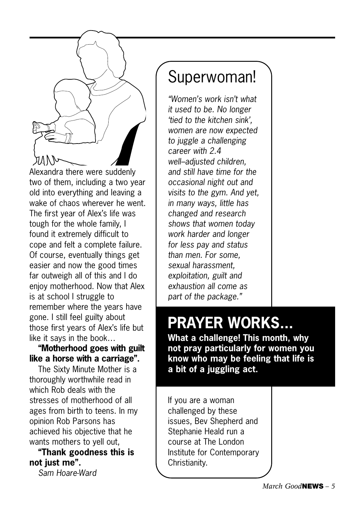

Alexandra there were suddenly two of them, including a two year old into everything and leaving a wake of chaos wherever he went. The first year of Alex's life was tough for the whole family, I found it extremely difficult to cope and felt a complete failure. Of course, eventually things get easier and now the good times far outweigh all of this and I do enjoy motherhood. Now that Alex is at school I struggle to remember where the years have gone. I still feel guilty about those first years of Alex's life but like it says in the book…

#### **"Motherhood goes with guilt like a horse with a carriage".**

The Sixty Minute Mother is a thoroughly worthwhile read in which Rob deals with the stresses of motherhood of all ages from birth to teens. In my opinion Rob Parsons has achieved his objective that he wants mothers to yell out,

### **"Thank goodness this is not just me".**

*Sam Hoare-Ward*

## Superwoman!

*"Women's work isn't what it used to be. No longer 'tied to the kitchen sink', women are now expected to juggle a challenging career with 2.4 well–adjusted children, and still have time for the occasional night out and visits to the gym. And yet, in many ways, little has changed and research shows that women today work harder and longer for less pay and status than men. For some, sexual harassment, exploitation, guilt and exhaustion all come as part of the package."*

## **PRAYER WORKS...**

**What a challenge! This month, why not pray particularly for women you know who may be feeling that life is a bit of a juggling act.**

If you are a woman challenged by these issues, Bev Shepherd and Stephanie Heald run a course at The London Institute for Contemporary Christianity.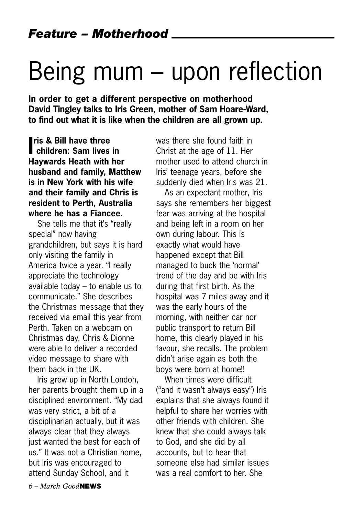# Being mum – upon reflection

**In order to get a different perspective on motherhood David Tingley talks to Iris Green, mother of Sam Hoare-Ward, to find out what it is like when the children are all grown up.** 

**Inches** Children: Sam lives in **ris & Bill have three Haywards Heath with her husband and family, Matthew is in New York with his wife and their family and Chris is resident to Perth, Australia where he has a Fiancee.** 

She tells me that it's "really special" now having grandchildren, but says it is hard only visiting the family in America twice a year. "I really appreciate the technology available today – to enable us to communicate." She describes the Christmas message that they received via email this year from Perth. Taken on a webcam on Christmas day, Chris & Dionne were able to deliver a recorded video message to share with them back in the UK.

Iris grew up in North London, her parents brought them up in a disciplined environment. "My dad was very strict, a bit of a disciplinarian actually, but it was always clear that they always just wanted the best for each of us." It was not a Christian home, but Iris was encouraged to attend Sunday School, and it

was there she found faith in Christ at the age of 11. Her mother used to attend church in Iris' teenage years, before she suddenly died when Iris was 21.

As an expectant mother, Iris says she remembers her biggest fear was arriving at the hospital and being left in a room on her own during labour. This is exactly what would have happened except that Bill managed to buck the 'normal' trend of the day and be with Iris during that first birth. As the hospital was 7 miles away and it was the early hours of the morning, with neither car nor public transport to return Bill home, this clearly played in his favour, she recalls. The problem didn't arise again as both the boys were born at home!!

When times were difficult ("and it wasn't always easy") Iris explains that she always found it helpful to share her worries with other friends with children. She knew that she could always talk to God, and she did by all accounts, but to hear that someone else had similar issues was a real comfort to her. She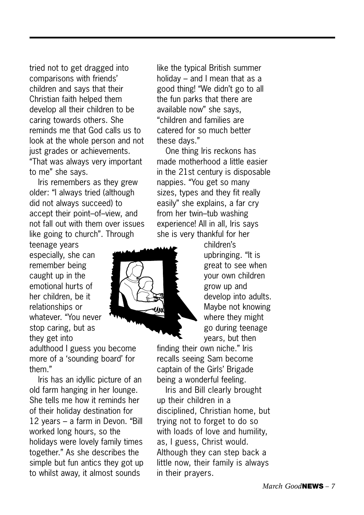tried not to get dragged into comparisons with friends' children and says that their Christian faith helped them develop all their children to be caring towards others. She reminds me that God calls us to look at the whole person and not just grades or achievements. "That was always very important to me" she says.

Iris remembers as they grew older: "I always tried (although did not always succeed) to accept their point–of–view, and not fall out with them over issues like going to church". Through

teenage years especially, she can remember being caught up in the emotional hurts of her children, be it relationships or whatever. "You never stop caring, but as they get into

adulthood I guess you become more of a 'sounding board' for them."

Iris has an idyllic picture of an old farm hanging in her lounge. She tells me how it reminds her of their holiday destination for 12 years – a farm in Devon. "Bill worked long hours, so the holidays were lovely family times together." As she describes the simple but fun antics they got up to whilst away, it almost sounds

like the typical British summer holiday – and I mean that as a good thing! "We didn't go to all the fun parks that there are available now" she says, "children and families are catered for so much better these days."

One thing Iris reckons has made motherhood a little easier in the 21st century is disposable nappies. "You get so many sizes, types and they fit really easily" she explains, a far cry from her twin–tub washing experience! All in all, Iris says she is very thankful for her



children's upbringing. "It is great to see when your own children grow up and develop into adults. Maybe not knowing where they might go during teenage years, but then

finding their own niche." Iris recalls seeing Sam become captain of the Girls' Brigade being a wonderful feeling.

Iris and Bill clearly brought up their children in a disciplined, Christian home, but trying not to forget to do so with loads of love and humility, as, I guess, Christ would. Although they can step back a little now, their family is always in their prayers.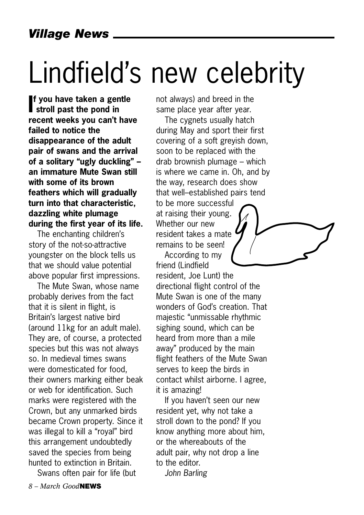# Lindfield's new celebrity

**I**f you have taken a ger stroll past the pond in **f you have taken a gentle recent weeks you can't have failed to notice the disappearance of the adult pair of swans and the arrival of a solitary "ugly duckling" – an immature Mute Swan still with some of its brown feathers which will gradually turn into that characteristic, dazzling white plumage during the first year of its life.** 

The enchanting children's story of the not-so-attractive youngster on the block tells us that we should value potential above popular first impressions.

The Mute Swan, whose name probably derives from the fact that it is silent in flight, is Britain's largest native bird (around 11kg for an adult male). They are, of course, a protected species but this was not always so. In medieval times swans were domesticated for food, their owners marking either beak or web for identification. Such marks were registered with the Crown, but any unmarked birds became Crown property. Since it was illegal to kill a "royal" bird this arrangement undoubtedly saved the species from being hunted to extinction in Britain.

Swans often pair for life (but

not always) and breed in the same place year after year.

The cygnets usually hatch during May and sport their first covering of a soft greyish down, soon to be replaced with the drab brownish plumage – which is where we came in. Oh, and by the way, research does show that well–established pairs tend to be more successful at raising their young. Whether our new resident takes a mate remains to be seen!

According to my friend (Lindfield resident, Joe Lunt) the directional flight control of the Mute Swan is one of the many wonders of God's creation. That majestic "unmissable rhythmic sighing sound, which can be heard from more than a mile away" produced by the main flight feathers of the Mute Swan serves to keep the birds in contact whilst airborne. I agree, it is amazing!

If you haven't seen our new resident yet, why not take a stroll down to the pond? If you know anything more about him, or the whereabouts of the adult pair, why not drop a line to the editor.

*John Barling*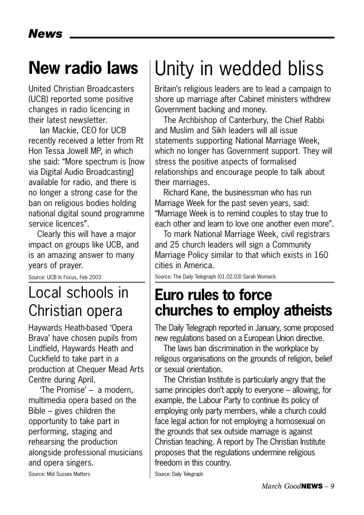## **New radio laws**

United Christian Broadcasters (UCB) reported some positive changes in radio licencing in their latest newsletter.

Ian Mackie, CEO for UCB recently received a letter from Rt Hon Tessa Jowell MP, in which she said: "More spectrum is [now via Digital Audio Broadcasting] available for radio, and there is no longer a strong case for the ban on religious bodies holding national digital sound programme service licences".

Clearly this will have a major impact on groups like UCB, and is an amazing answer to many years of prayer.

Source: UCB In Focus, Feb 2003

## Local schools in Christian opera

Haywards Heath-based 'Opera Brava' have chosen pupils from Lindfield, Haywards Heath and Cuckfield to take part in a production at Chequer Mead Arts Centre during April.

'The Promise' – a modern, multimedia opera based on the Bible – gives children the opportunity to take part in performing, staging and rehearsing the production alongside professional musicians and opera singers.

## Unity in wedded bliss

Britain's religious leaders are to lead a campaign to shore up marriage after Cabinet ministers withdrew Government backing and money.

The Archbishop of Canterbury, the Chief Rabbi and Muslim and Sikh leaders will all issue statements supporting National Marriage Week, which no longer has Government support. They will stress the positive aspects of formalised relationships and encourage people to talk about their marriages.

Richard Kane, the businessman who has run Marriage Week for the past seven years, said: "Marriage Week is to remind couples to stay true to each other and learn to love one another even more".

To mark National Marriage Week, civil registrars and 25 church leaders will sign a Community Marriage Policy similar to that which exists in 160 cities in America.

Source: The Daily Telegraph (01.02.03) Sarah Womack

## **Euro rules to force churches to employ atheists**

The Daily Telegraph reported in January, some proposed new regulations based on a European Union directive.

The laws ban discrimination in the workplace by religous organisations on the grounds of religion, belief or sexual orientation.

The Christian Institute is particularly angry that the same principles don't apply to everyone – allowing, for example, the Labour Party to continue its policy of employing only party members, while a church could face legal action for not employing a homosexual on the grounds that sex outside marriage is against Christian teaching. A report by The Christian Institute proposes that the regulations undermine religious freedom in this country.

Source: Daily Telegraph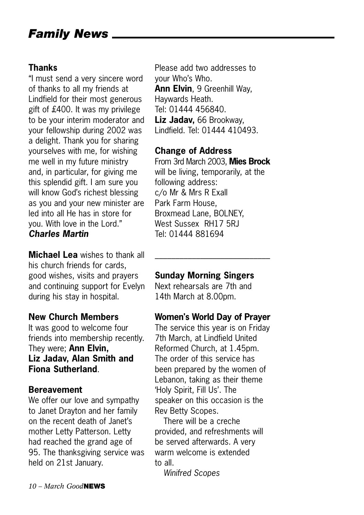## *Family News*

### **Thanks**

"I must send a very sincere word of thanks to all my friends at Lindfield for their most generous gift of £400. It was my privilege to be your interim moderator and your fellowship during 2002 was a delight. Thank you for sharing yourselves with me, for wishing me well in my future ministry and, in particular, for giving me this splendid gift. I am sure you will know God's richest blessing as you and your new minister are led into all He has in store for you. With love in the Lord." *Charles Martin*

**Michael Lea** wishes to thank all his church friends for cards, good wishes, visits and prayers and continuing support for Evelyn during his stay in hospital.

#### **New Church Members**

It was good to welcome four friends into membership recently. They were; **Ann Elvin, Liz Jadav, Alan Smith and Fiona Sutherland**.

#### **Bereavement**

We offer our love and sympathy to Janet Drayton and her family on the recent death of Janet's mother Letty Patterson. Letty had reached the grand age of 95. The thanksgiving service was held on 21st January.

Please add two addresses to your Who's Who. **Ann Elvin**, 9 Greenhill Way, Haywards Heath. Tel: 01444 456840. **Liz Jadav,** 66 Brookway, Lindfield. Tel: 01444 410493.

#### **Change of Address**

From 3rd March 2003, **Mies Brock** will be living, temporarily, at the following address: c/o Mr & Mrs R Exall Park Farm House, Broxmead Lane, BOLNEY, West Sussex RH17 5RJ Tel: 01444 881694

\_\_\_\_\_\_\_\_\_\_\_\_\_\_\_\_\_\_\_\_\_\_\_\_\_\_\_\_

#### **Sunday Morning Singers**

Next rehearsals are 7th and 14th March at 8.00pm.

#### **Women's World Day of Prayer**

The service this year is on Friday 7th March, at Lindfield United Reformed Church, at 1.45pm. The order of this service has been prepared by the women of Lebanon, taking as their theme 'Holy Spirit, Fill Us'. The speaker on this occasion is the Rev Betty Scopes.

There will be a creche provided, and refreshments will be served afterwards. A very warm welcome is extended to all.

*Winifred Scopes*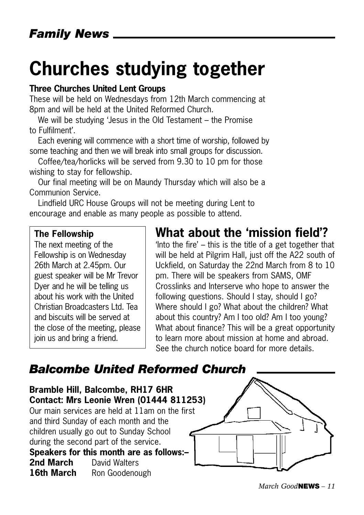## **Churches studying together**

#### **Three Churches United Lent Groups**

These will be held on Wednesdays from 12th March commencing at 8pm and will be held at the United Reformed Church.

We will be studying 'Jesus in the Old Testament – the Promise to Fulfilment'.

Each evening will commence with a short time of worship, followed by some teaching and then we will break into small groups for discussion.

Coffee/tea/horlicks will be served from 9.30 to 10 pm for those wishing to stay for fellowship.

Our final meeting will be on Maundy Thursday which will also be a Communion Service.

Lindfield URC House Groups will not be meeting during Lent to encourage and enable as many people as possible to attend.

#### **The Fellowship**

The next meeting of the Fellowship is on Wednesday 26th March at 2.45pm. Our guest speaker will be Mr Trevor Dyer and he will be telling us about his work with the United Christian Broadcasters Ltd. Tea and biscuits will be served at the close of the meeting, please join us and bring a friend.

## **What about the 'mission field'?**

'Into the fire' – this is the title of a get together that will be held at Pilgrim Hall, just off the A22 south of Uckfield, on Saturday the 22nd March from 8 to 10 pm. There will be speakers from SAMS, OMF Crosslinks and Interserve who hope to answer the following questions. Should I stay, should I go? Where should I go? What about the children? What about this country? Am I too old? Am I too young? What about finance? This will be a great opportunity to learn more about mission at home and abroad. See the church notice board for more details.

## *Balcombe United Reformed Church*

**Bramble Hill, Balcombe, RH17 6HR Contact: Mrs Leonie Wren (01444 811253)** Our main services are held at 11am on the first and third Sunday of each month and the children usually go out to Sunday School during the second part of the service. **Speakers for this month are as follows:– 2nd March** David Walters 16th March Ron Goodenough

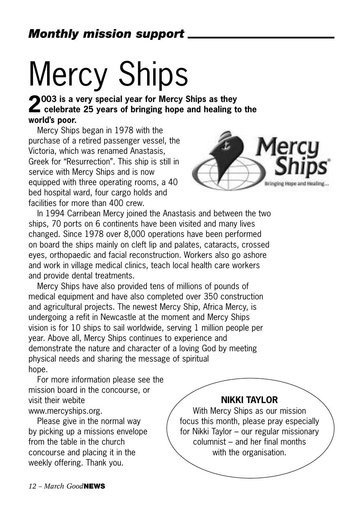# Mercy Ships

**2003 is a very special year for Mercy Ships as they celebrate 25 years of bringing hope and healing to the world's poor.** 

Mercy Ships began in 1978 with the purchase of a retired passenger vessel, the Victoria, which was renamed Anastasis, Greek for "Resurrection". This ship is still in service with Mercy Ships and is now equipped with three operating rooms, a 40 bed hospital ward, four cargo holds and facilities for more than 400 crew.



In 1994 Carribean Mercy joined the Anastasis and between the two ships, 70 ports on 6 continents have been visited and many lives changed. Since 1978 over 8,000 operations have been performed on board the ships mainly on cleft lip and palates, cataracts, crossed eyes, orthopaedic and facial reconstruction. Workers also go ashore and work in village medical clinics, teach local health care workers and provide dental treatments.

Mercy Ships have also provided tens of millions of pounds of medical equipment and have also completed over 350 construction and agricultural projects. The newest Mercy Ship, Africa Mercy, is undergoing a refit in Newcastle at the moment and Mercy Ships vision is for 10 ships to sail worldwide, serving 1 million people per year. Above all, Mercy Ships continues to experience and demonstrate the nature and character of a loving God by meeting physical needs and sharing the message of spiritual hope.

For more information please see the mission board in the concourse, or visit their webite www.mercyships.org.

Please give in the normal way by picking up a missions envelope from the table in the church concourse and placing it in the weekly offering. Thank you.

#### **NIKKI TAYLOR**

With Mercy Ships as our mission focus this month, please pray especially for Nikki Taylor – our regular missionary columnist – and her final months with the organisation.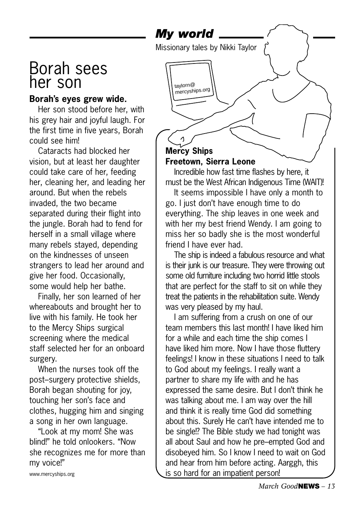*My world*

taylorn@ mercyships.org

Missionary tales by Nikki Taylor

## Borah sees her son

### **Borah's eyes grew wide.**

Her son stood before her, with his grey hair and joyful laugh. For the first time in five years, Borah could see him!

Cataracts had blocked her vision, but at least her daughter could take care of her, feeding her, cleaning her, and leading her around. But when the rebels invaded, the two became separated during their flight into the jungle. Borah had to fend for herself in a small village where many rebels stayed, depending on the kindnesses of unseen strangers to lead her around and give her food. Occasionally, some would help her bathe.

Finally, her son learned of her whereabouts and brought her to live with his family. He took her to the Mercy Ships surgical screening where the medical staff selected her for an onboard surgery.

When the nurses took off the post–surgery protective shields, Borah began shouting for joy, touching her son's face and clothes, hugging him and singing a song in her own language.

"Look at my mom! She was blind!" he told onlookers. "Now she recognizes me for more than my voice!"

www.mercyships.org

### **Mercy Ships Freetown, Sierra Leone**

Incredible how fast time flashes by here, it must be the West African Indigenous Time (WAIT)!

It seems impossible I have only a month to go. I just don't have enough time to do everything. The ship leaves in one week and with her my best friend Wendy. I am going to miss her so badly she is the most wonderful friend I have ever had.

The ship is indeed a fabulous resource and what is their junk is our treasure. They were throwing out some old furniture including two horrid little stools that are perfect for the staff to sit on while they treat the patients in the rehabilitation suite. Wendy was very pleased by my haul.

I am suffering from a crush on one of our team members this last month! I have liked him for a while and each time the ship comes I have liked him more. Now I have those fluttery feelings! I know in these situations I need to talk to God about my feelings. I really want a partner to share my life with and he has expressed the same desire. But I don't think he was talking about me. I am way over the hill and think it is really time God did something about this. Surely He can't have intended me to be single!? The Bible study we had tonight was all about Saul and how he pre–empted God and disobeyed him. So I know I need to wait on God and hear from him before acting. Aarggh, this is so hard for an impatient person!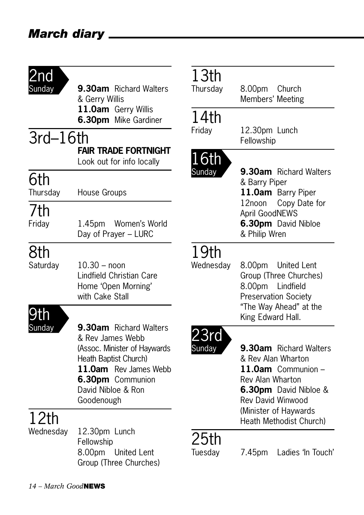| 2nd        |                                                                                                                                                                                      | 13          |
|------------|--------------------------------------------------------------------------------------------------------------------------------------------------------------------------------------|-------------|
| Sunday     | 9.30am Richard Walters<br>& Gerry Willis                                                                                                                                             | Thur        |
|            | 11.0am Gerry Willis                                                                                                                                                                  |             |
|            | 6.30pm Mike Gardiner                                                                                                                                                                 | 14<br>Frida |
| $3rd-16th$ |                                                                                                                                                                                      |             |
|            | <b>FAIR TRADE FORTNIGHT</b><br>Look out for info locally                                                                                                                             |             |
| 6th        |                                                                                                                                                                                      |             |
| Thursday   | House Groups                                                                                                                                                                         |             |
| 7th        |                                                                                                                                                                                      |             |
| Friday     | 1.45pm Women's World<br>Day of Prayer - LURC                                                                                                                                         |             |
| 8th        |                                                                                                                                                                                      |             |
| Saturday   | $10.30 -$ noon<br>Lindfield Christian Care<br>Home 'Open Morning'<br>with Cake Stall                                                                                                 | Wed         |
| 9tl        |                                                                                                                                                                                      |             |
| Sunday     | 9.30am Richard Walters<br>& Rev James Webb<br>(Assoc. Minister of Haywards<br>Heath Baptist Church)<br>11.0am Rev James Webb<br>6.30pm Communion<br>David Nibloe & Ron<br>Goodenough |             |
| 12th       |                                                                                                                                                                                      |             |
| Wednesday  | 12.30pm Lunch<br>Fellowship<br>8.00pm<br><b>United Lent</b><br>Group (Three Churches)                                                                                                | Tues        |

# 3th<br><sub>sdav</sub>

8.00pm Church Members' Meeting

## 14th

ay 12.30pm Lunch Fellowship

## th

lay **9.30am** Richard Walters & Barry Piper **11.0am** Barry Piper 12noon Copy Date for April GoodNEWS **6.30pm** David Nibloe & Philip Wren

## )th

nesday 8.00pm United Lent Group (Three Churches) 8.00pm Lindfield Preservation Society "The Way Ahead" at the King Edward Hall.



av **9.30am** Richard Walters & Rev Alan Wharton **11.0am** Communion – Rev Alan Wharton **6.30pm** David Nibloe & Rev David Winwood (Minister of Haywards Heath Methodist Church)

## b**th**<br>sday

7.45pm Ladies 'In Touch'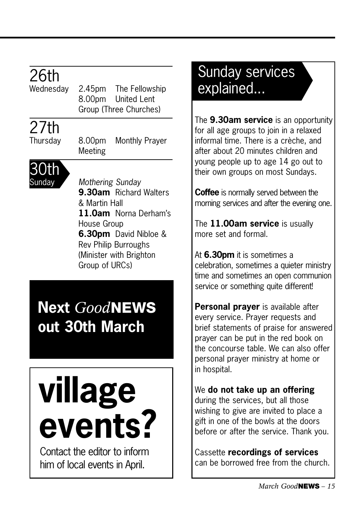# 26th<br>Wednesdav

2.45pm The Fellowship 8.00pm United Lent Group (Three Churches)

## 27th

Thursday 8.00pm Monthly Prayer Meeting



Sunday *Mothering Sunday* **9.30am** Richard Walters & Martin Hall **11.0am** Norna Derham's House Group **6.30pm** David Nibloe & Rev Philip Burroughs (Minister with Brighton Group of URCs)

## **Next** *Good***NEWS out 30th March**

# **village events?**

Contact the editor to inform him of local events in April.

## Sunday services explained...

The **9.30am service** is an opportunity for all age groups to join in a relaxed informal time. There is a crèche, and after about 20 minutes children and young people up to age 14 go out to their own groups on most Sundays.

**Coffee** is normally served between the morning services and after the evening one.

The **11.00am service** is usually more set and formal.

At **6.30pm** it is sometimes a celebration, sometimes a quieter ministry time and sometimes an open communion service or something quite different!

**Personal prayer** is available after every service. Prayer requests and brief statements of praise for answered prayer can be put in the red book on the concourse table. We can also offer personal prayer ministry at home or in hospital.

#### We **do not take up an offering** during the services, but all those wishing to give are invited to place a gift in one of the bowls at the doors before or after the service. Thank you.

Cassette **recordings of services** can be borrowed free from the church.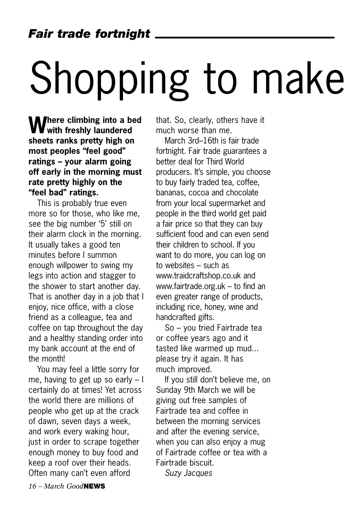# Shopping to make

**M** here climbing into a bed **with freshly laundered sheets ranks pretty high on most peoples "feel good" ratings – your alarm going off early in the morning must rate pretty highly on the "feel bad" ratings.**

This is probably true even more so for those, who like me, see the big number '5' still on their alarm clock in the morning. It usually takes a good ten minutes before I summon enough willpower to swing my legs into action and stagger to the shower to start another day. That is another day in a job that I enjoy, nice office, with a close friend as a colleague, tea and coffee on tap throughout the day and a healthy standing order into my bank account at the end of the month!

You may feel a little sorry for me, having to get up so early – I certainly do at times! Yet across the world there are millions of people who get up at the crack of dawn, seven days a week, and work every waking hour, just in order to scrape together enough money to buy food and keep a roof over their heads. Often many can't even afford

that. So, clearly, others have it much worse than me.

March 3rd–16th is fair trade fortnight. Fair trade guarantees a better deal for Third World producers. It's simple, you choose to buy fairly traded tea, coffee, bananas, cocoa and chocolate from your local supermarket and people in the third world get paid a fair price so that they can buy sufficient food and can even send their children to school. If you want to do more, you can log on to websites – such as www.traidcraftshop.co.uk and www.fairtrade.org.uk – to find an even greater range of products, including rice, honey, wine and handcrafted gifts.

So – you tried Fairtrade tea or coffee years ago and it tasted like warmed up mud... please try it again. It has much improved.

If you still don't believe me, on Sunday 9th March we will be giving out free samples of Fairtrade tea and coffee in between the morning services and after the evening service, when you can also enjoy a mug of Fairtrade coffee or tea with a Fairtrade biscuit.

*Suzy Jacques*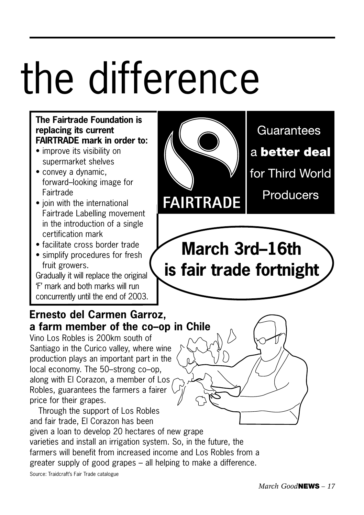# the difference

### **The Fairtrade Foundation is replacing its current FAIRTRADE mark in order to:**

- improve its visibility on supermarket shelves
- convey a dynamic, forward–looking image for **Fairtrade**
- join with the international Fairtrade Labelling movement in the introduction of a single certification mark
- facilitate cross border trade
- simplify procedures for fresh fruit growers.

Gradually it will replace the original 'F' mark and both marks will run concurrently until the end of 2003.

## **Ernesto del Carmen Garroz, a farm member of the co–op in Chile**

Vino Los Robles is 200km south of Santiago in the Curico valley, where wine production plays an important part in the local economy. The 50–strong co–op, along with El Corazon, a member of Los Robles, guarantees the farmers a fairer price for their grapes.



Guarantees a better deal for Third World **Producers** 

**March 3rd–16th is fair trade fortnight**

**FAIRTRADE**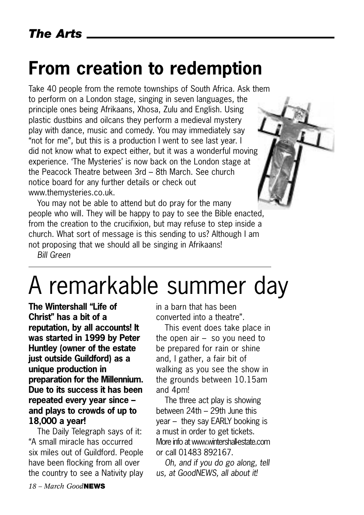## **From creation to redemption**

Take 40 people from the remote townships of South Africa. Ask them to perform on a London stage, singing in seven languages, the principle ones being Afrikaans, Xhosa, Zulu and English. Using plastic dustbins and oilcans they perform a medieval mystery play with dance, music and comedy. You may immediately say "not for me", but this is a production I went to see last year. I did not know what to expect either, but it was a wonderful moving experience. 'The Mysteries' is now back on the London stage at the Peacock Theatre between 3rd – 8th March. See church notice board for any further details or check out www.themysteries.co.uk.

You may not be able to attend but do pray for the many people who will. They will be happy to pay to see the Bible enacted, from the creation to the crucifixion, but may refuse to step inside a church. What sort of message is this sending to us? Although I am not proposing that we should all be singing in Afrikaans!

*Bill Green*

## A remarkable summer day

**The Wintershall "Life of Christ" has a bit of a reputation, by all accounts! It was started in 1999 by Peter Huntley (owner of the estate just outside Guildford) as a unique production in preparation for the Millennium. Due to its success it has been repeated every year since – and plays to crowds of up to 18,000 a year!**

The Daily Telegraph says of it: "A small miracle has occurred six miles out of Guildford. People have been flocking from all over the country to see a Nativity play in a barn that has been converted into a theatre".

This event does take place in the open air – so you need to be prepared for rain or shine and, I gather, a fair bit of walking as you see the show in the grounds between 10.15am and 4pm!

The three act play is showing between 24th – 29th June this year – they say EARLY booking is a must in order to get tickets. More info at www.wintershallestate.com or call 01483 892167.

*Oh, and if you do go along, tell us, at GoodNEWS, all about it!*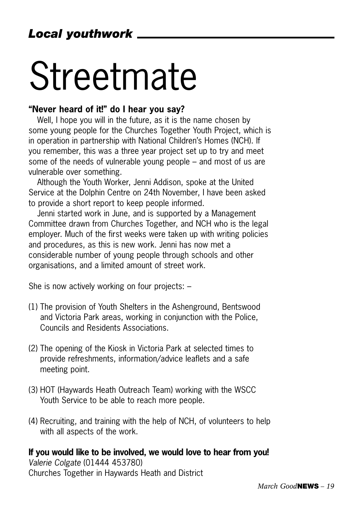# Streetmate

#### **"Never heard of it!" do I hear you say?**

Well, I hope you will in the future, as it is the name chosen by some young people for the Churches Together Youth Project, which is in operation in partnership with National Children's Homes (NCH). If you remember, this was a three year project set up to try and meet some of the needs of vulnerable young people – and most of us are vulnerable over something.

Although the Youth Worker, Jenni Addison, spoke at the United Service at the Dolphin Centre on 24th November, I have been asked to provide a short report to keep people informed.

Jenni started work in June, and is supported by a Management Committee drawn from Churches Together, and NCH who is the legal employer. Much of the first weeks were taken up with writing policies and procedures, as this is new work. Jenni has now met a considerable number of young people through schools and other organisations, and a limited amount of street work.

She is now actively working on four projects: –

- (1) The provision of Youth Shelters in the Ashenground, Bentswood and Victoria Park areas, working in conjunction with the Police, Councils and Residents Associations.
- (2) The opening of the Kiosk in Victoria Park at selected times to provide refreshments, information/advice leaflets and a safe meeting point.
- (3) HOT (Haywards Heath Outreach Team) working with the WSCC Youth Service to be able to reach more people.
- (4) Recruiting, and training with the help of NCH, of volunteers to help with all aspects of the work.

#### **If you would like to be involved, we would love to hear from you!** *Valerie Colgate* (01444 453780)

Churches Together in Haywards Heath and District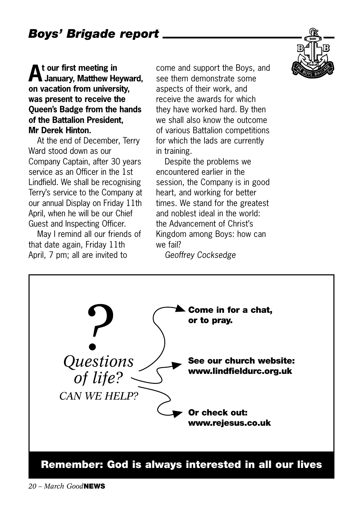**At our first meeting in January, Matthew Heyward, on vacation from university, was present to receive the Queen's Badge from the hands of the Battalion President, Mr Derek Hinton.** 

At the end of December, Terry Ward stood down as our Company Captain, after 30 years service as an Officer in the 1st Lindfield. We shall be recognising Terry's service to the Company at our annual Display on Friday 11th April, when he will be our Chief Guest and Inspecting Officer.

May I remind all our friends of that date again, Friday 11th April, 7 pm; all are invited to

come and support the Boys, and see them demonstrate some aspects of their work, and receive the awards for which they have worked hard. By then we shall also know the outcome of various Battalion competitions for which the lads are currently in training.

Despite the problems we encountered earlier in the session, the Company is in good heart, and working for better times. We stand for the greatest and noblest ideal in the world: the Advancement of Christ's Kingdom among Boys: how can we fail?

*Geoffrey Cocksedge* 

*Questions of life? CAN WE HELP?* **?** Come in for a chat, or to pray. **or to pray. Or check out: www.rejesus.co.uk See our church website: www.lindfieldurc.org.uk Remember: God is always interested in all our lives**

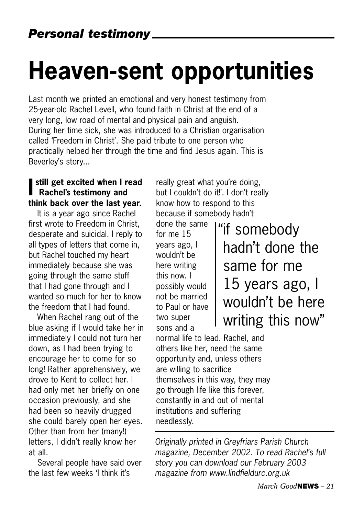# **Heaven-sent opportunities**

Last month we printed an emotional and very honest testimony from 25-year-old Rachel Levell, who found faith in Christ at the end of a very long, low road of mental and physical pain and anguish. During her time sick, she was introduced to a Christian organisation called 'Freedom in Christ'. She paid tribute to one person who practically helped her through the time and find Jesus again. This is Beverley's story...

### **I** still get excited when I r<br>Rachel's testimony and **still get excited when I read think back over the last year.**

It is a year ago since Rachel first wrote to Freedom in Christ, desperate and suicidal. I reply to all types of letters that come in, but Rachel touched my heart immediately because she was going through the same stuff that I had gone through and I wanted so much for her to know the freedom that I had found.

When Rachel rang out of the blue asking if I would take her in immediately I could not turn her down, as I had been trying to encourage her to come for so long! Rather apprehensively, we drove to Kent to collect her. I had only met her briefly on one occasion previously, and she had been so heavily drugged she could barely open her eyes. Other than from her (many!) letters, I didn't really know her at all.

Several people have said over the last few weeks 'I think it's

really great what you're doing, but I couldn't do it!'. I don't really know how to respond to this because if somebody hadn't

done the same for me 15 years ago, I wouldn't be here writing this now. I possibly would not be married to Paul or have two super sons and a

"if somebody hadn't done the same for me 15 years ago, I wouldn't be here writing this now"

normal life to lead. Rachel, and others like her, need the same opportunity and, unless others are willing to sacrifice themselves in this way, they may go through life like this forever, constantly in and out of mental institutions and suffering needlessly.

*Originally printed in Greyfriars Parish Church magazine, December 2002. To read Rachel's full story you can download our February 2003 magazine from www.lindfieldurc.org.uk*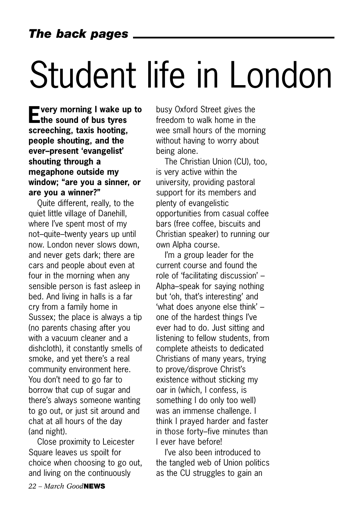# Student life in London

**Every morning I wake up to the sound of bus tyres screeching, taxis hooting, people shouting, and the ever–present 'evangelist' shouting through a megaphone outside my window; "are you a sinner, or are you a winner?"** 

Quite different, really, to the quiet little village of Danehill, where I've spent most of my not–quite–twenty years up until now. London never slows down, and never gets dark; there are cars and people about even at four in the morning when any sensible person is fast asleep in bed. And living in halls is a far cry from a family home in Sussex; the place is always a tip (no parents chasing after you with a vacuum cleaner and a dishcloth), it constantly smells of smoke, and yet there's a real community environment here. You don't need to go far to borrow that cup of sugar and there's always someone wanting to go out, or just sit around and chat at all hours of the day (and night).

Close proximity to Leicester Square leaves us spoilt for choice when choosing to go out, and living on the continuously

busy Oxford Street gives the freedom to walk home in the wee small hours of the morning without having to worry about being alone.

The Christian Union (CU), too, is very active within the university, providing pastoral support for its members and plenty of evangelistic opportunities from casual coffee bars (free coffee, biscuits and Christian speaker) to running our own Alpha course.

I'm a group leader for the current course and found the role of 'facilitating discussion' – Alpha–speak for saying nothing but 'oh, that's interesting' and 'what does anyone else think' – one of the hardest things I've ever had to do. Just sitting and listening to fellow students, from complete atheists to dedicated Christians of many years, trying to prove/disprove Christ's existence without sticking my oar in (which, I confess, is something I do only too well) was an immense challenge. I think I prayed harder and faster in those forty–five minutes than I ever have before!

I've also been introduced to the tangled web of Union politics as the CU struggles to gain an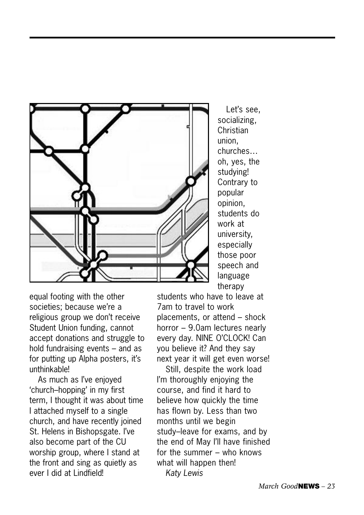

Let's see, socializing, **Christian** union, churches… oh, yes, the studying! Contrary to popular opinion, students do work at university, especially those poor speech and language therapy

equal footing with the other societies; because we're a religious group we don't receive Student Union funding, cannot accept donations and struggle to hold fundraising events – and as for putting up Alpha posters, it's unthinkable!

As much as I've enjoyed 'church–hopping' in my first term, I thought it was about time I attached myself to a single church, and have recently joined St. Helens in Bishopsgate. I've also become part of the CU worship group, where I stand at the front and sing as quietly as ever I did at Lindfield!

students who have to leave at 7am to travel to work placements, or attend – shock horror – 9.0am lectures nearly every day. NINE O'CLOCK! Can you believe it? And they say next year it will get even worse!

Still, despite the work load I'm thoroughly enjoying the course, and find it hard to believe how quickly the time has flown by. Less than two months until we begin study–leave for exams, and by the end of May I'll have finished for the summer – who knows what will happen then! *Katy Lewis*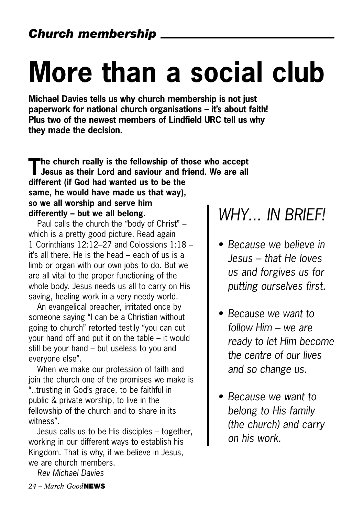# **More than a social club**

**Michael Davies tells us why church membership is not just paperwork for national church organisations – it's about faith! Plus two of the newest members of Lindfield URC tell us why they made the decision.** 

**The church really is the fellowship of those who accept Jesus as their Lord and saviour and friend. We are all different (if God had wanted us to be the same, he would have made us that way), so we all worship and serve him differently – but we all belong.**

Paul calls the church the "body of Christ" – which is a pretty good picture. Read again 1 Corinthians 12:12–27 and Colossions 1:18 – it's all there. He is the head – each of us is a limb or organ with our own jobs to do. But we are all vital to the proper functioning of the whole body. Jesus needs us all to carry on His saving, healing work in a very needy world.

An evangelical preacher, irritated once by someone saying "I can be a Christian without going to church" retorted testily "you can cut your hand off and put it on the table – it would still be your hand – but useless to you and everyone else".

When we make our profession of faith and join the church one of the promises we make is "..trusting in God's grace, to be faithful in public & private worship, to live in the fellowship of the church and to share in its witness".

Jesus calls us to be His disciples – together, working in our different ways to establish his Kingdom. That is why, if we believe in Jesus, we are church members.

*Rev Michael Davies*

## *WHY... IN BRIEF!*

- *Because we believe in Jesus – that He loves us and forgives us for putting ourselves first.*
- *Because we want to follow Him – we are ready to let Him become the centre of our lives and so change us.*
- *Because we want to belong to His family (the church) and carry on his work.*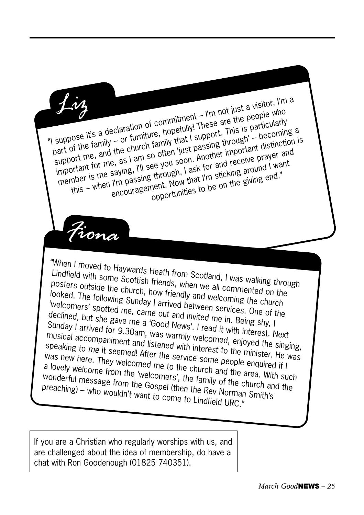

If you are a Christian who regularly worships with us, and are challenged about the idea of membership, do have a chat with Ron Goodenough (01825 740351).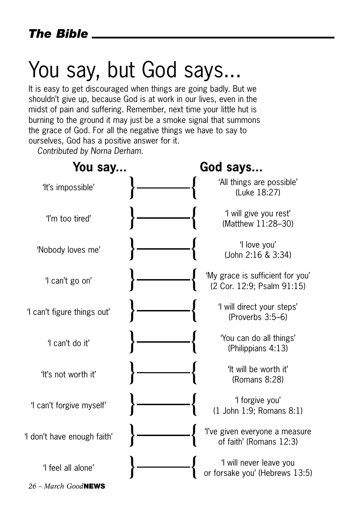## You say, but God says...

It is easy to get discouraged when things are going badly. But we shouldn't give up, because God is at work in our lives, even in the midst of pain and suffering. Remember, next time your little hut is burning to the ground it may just be a smoke signal that summons the grace of God. For all the negative things we have to say to ourselves, God has a positive answer for it.

*Contributed by Norna Derham.*

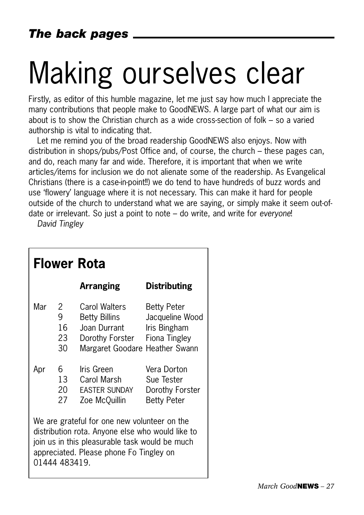# Making ourselves clear

Firstly, as editor of this humble magazine, let me just say how much I appreciate the many contributions that people make to GoodNEWS. A large part of what our aim is about is to show the Christian church as a wide cross-section of folk – so a varied authorship is vital to indicating that.

Let me remind you of the broad readership GoodNEWS also enjoys. Now with distribution in shops/pubs/Post Office and, of course, the church – these pages can, and do, reach many far and wide. Therefore, it is important that when we write articles/items for inclusion we do not alienate some of the readership. As Evangelical Christians (there is a case-in-point!!) we do tend to have hundreds of buzz words and use 'flowery' language where it is not necessary. This can make it hard for people outside of the church to understand what we are saying, or simply make it seem out-ofdate or irrelevant. So just a point to note – do write, and write for *everyone*!

*David Tingley*

| <b>Flower Rota</b>                                                                                                                                                                                             |                          |                                                                                                                   |                                                                    |
|----------------------------------------------------------------------------------------------------------------------------------------------------------------------------------------------------------------|--------------------------|-------------------------------------------------------------------------------------------------------------------|--------------------------------------------------------------------|
|                                                                                                                                                                                                                |                          | <b>Arranging</b>                                                                                                  | <b>Distributing</b>                                                |
| Mar                                                                                                                                                                                                            | 2<br>9<br>16<br>23<br>30 | Carol Walters<br>Betty Billins<br>Joan Durrant<br>Dorothy Forster Fiona Tingley<br>Margaret Goodare Heather Swann | <b>Betty Peter</b><br>Jacqueline Wood<br>Iris Bingham              |
| Apr                                                                                                                                                                                                            | 6.<br>13<br>20<br>27     | Iris Green<br>Carol Marsh<br>EASTER SUNDAY<br>Zoe McQuillin                                                       | Vera Dorton<br>Sue Tester<br>Dorothy Forster<br><b>Betty Peter</b> |
| We are grateful for one new volunteer on the<br>distribution rota. Anyone else who would like to<br>join us in this pleasurable task would be much<br>appreciated. Please phone Fo Tingley on<br>01444 483419. |                          |                                                                                                                   |                                                                    |